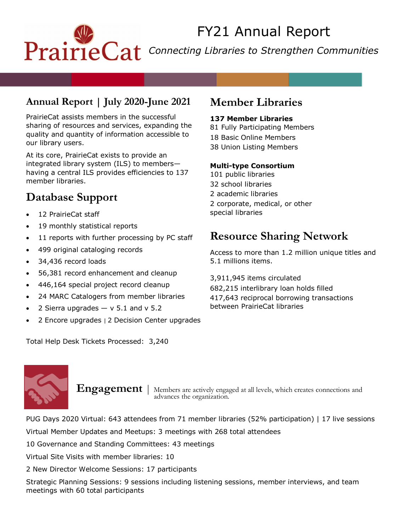# FY21 Annual Report PrairieCat Connecting Libraries to Strengthen Communities

### **Annual Report | July 2020-June 2021**

PrairieCat assists members in the successful sharing of resources and services, expanding the quality and quantity of information accessible to our library users.

At its core, PrairieCat exists to provide an integrated library system (ILS) to members having a central ILS provides efficiencies to 137 member libraries.

# **Database Support**

- 12 PrairieCat staff
- 19 monthly statistical reports
- 11 reports with further processing by PC staff
- 499 original cataloging records
- 34,436 record loads
- 56,381 record enhancement and cleanup
- 446,164 special project record cleanup
- 24 MARC Catalogers from member libraries
- 2 Sierra upgrades  $-$  v 5.1 and v 5.2
- 2 Encore upgrades | 2 Decision Center upgrades

Total Help Desk Tickets Processed: 3,240

# **Member Libraries**

#### **137 Member Libraries**

81 Fully Participating Members 18 Basic Online Members 38 Union Listing Members

#### **Multi-type Consortium**

101 public libraries 32 school libraries 2 academic libraries 2 corporate, medical, or other special libraries

# **Resource Sharing Network**

Access to more than 1.2 million unique titles and 5.1 millions items.

3,911,945 items circulated

682,215 interlibrary loan holds filled 417,643 reciprocal borrowing transactions between PrairieCat libraries



**Engagement** | Members are actively engaged at all levels, which creates connections and advances the organization.

PUG Days 2020 Virtual: 643 attendees from 71 member libraries (52% participation) | 17 live sessions Virtual Member Updates and Meetups: 3 meetings with 268 total attendees

10 Governance and Standing Committees: 43 meetings

Virtual Site Visits with member libraries: 10

2 New Director Welcome Sessions: 17 participants

Strategic Planning Sessions: 9 sessions including listening sessions, member interviews, and team meetings with 60 total participants